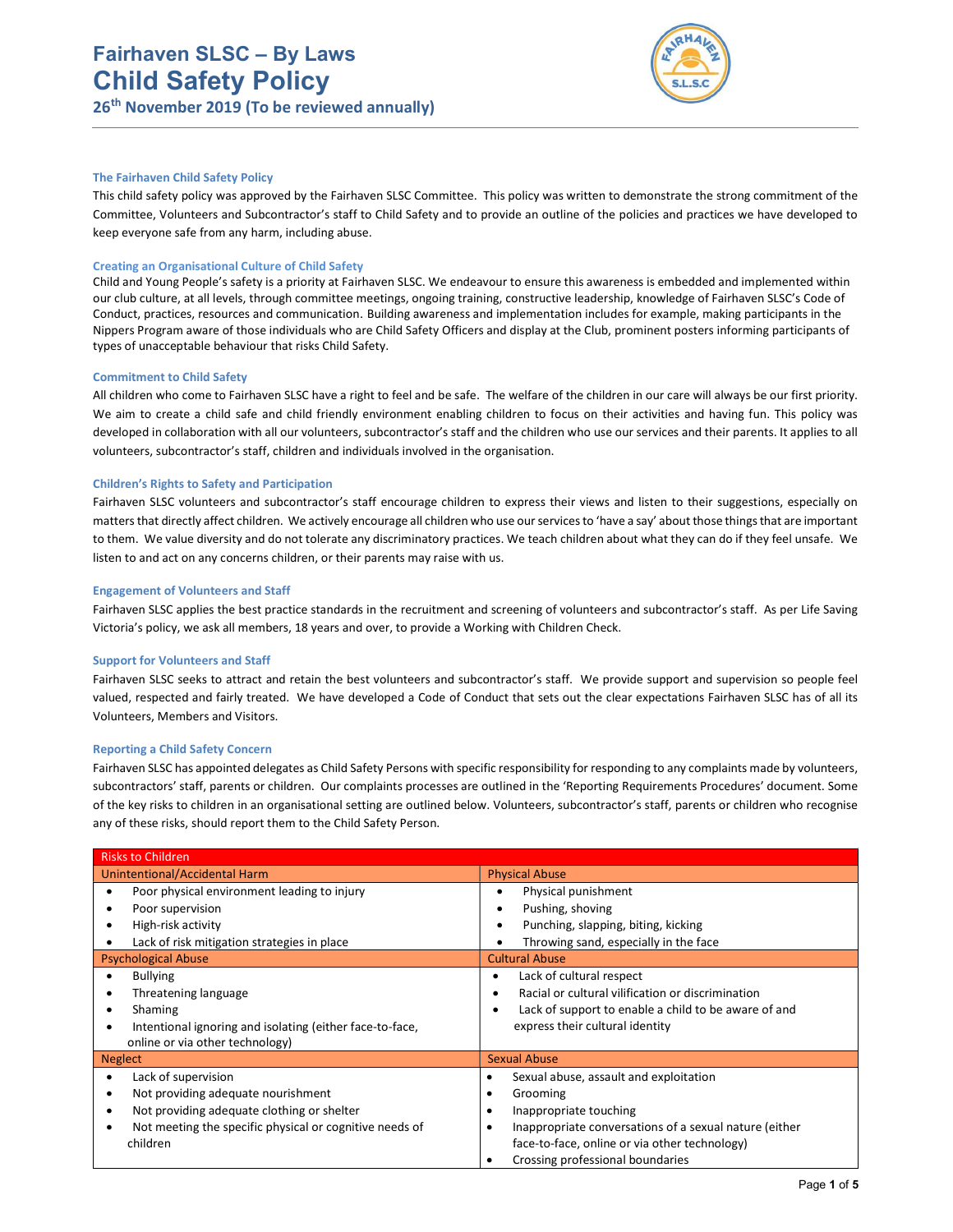# Fairhaven SLSC – By Laws Child Safety Policy 26th November 2019 (To be reviewed annually)



#### The Fairhaven Child Safety Policy

This child safety policy was approved by the Fairhaven SLSC Committee. This policy was written to demonstrate the strong commitment of the Committee, Volunteers and Subcontractor's staff to Child Safety and to provide an outline of the policies and practices we have developed to keep everyone safe from any harm, including abuse.

#### Creating an Organisational Culture of Child Safety

Child and Young People's safety is a priority at Fairhaven SLSC. We endeavour to ensure this awareness is embedded and implemented within our club culture, at all levels, through committee meetings, ongoing training, constructive leadership, knowledge of Fairhaven SLSC's Code of Conduct, practices, resources and communication. Building awareness and implementation includes for example, making participants in the Nippers Program aware of those individuals who are Child Safety Officers and display at the Club, prominent posters informing participants of types of unacceptable behaviour that risks Child Safety.

#### Commitment to Child Safety

All children who come to Fairhaven SLSC have a right to feel and be safe. The welfare of the children in our care will always be our first priority. We aim to create a child safe and child friendly environment enabling children to focus on their activities and having fun. This policy was developed in collaboration with all our volunteers, subcontractor's staff and the children who use our services and their parents. It applies to all volunteers, subcontractor's staff, children and individuals involved in the organisation.

#### Children's Rights to Safety and Participation

Fairhaven SLSC volunteers and subcontractor's staff encourage children to express their views and listen to their suggestions, especially on matters that directly affect children. We actively encourage all children who use our services to 'have a say' about those things that are important to them. We value diversity and do not tolerate any discriminatory practices. We teach children about what they can do if they feel unsafe. We listen to and act on any concerns children, or their parents may raise with us.

#### Engagement of Volunteers and Staff

Fairhaven SLSC applies the best practice standards in the recruitment and screening of volunteers and subcontractor's staff. As per Life Saving Victoria's policy, we ask all members, 18 years and over, to provide a Working with Children Check.

#### Support for Volunteers and Staff

Fairhaven SLSC seeks to attract and retain the best volunteers and subcontractor's staff. We provide support and supervision so people feel valued, respected and fairly treated. We have developed a Code of Conduct that sets out the clear expectations Fairhaven SLSC has of all its Volunteers, Members and Visitors.

#### Reporting a Child Safety Concern

Fairhaven SLSC has appointed delegates as Child Safety Persons with specific responsibility for responding to any complaints made by volunteers, subcontractors' staff, parents or children. Our complaints processes are outlined in the 'Reporting Requirements Procedures' document. Some of the key risks to children in an organisational setting are outlined below. Volunteers, subcontractor's staff, parents or children who recognise any of these risks, should report them to the Child Safety Person.

| <b>Risks to Children</b>                                      |                                                           |
|---------------------------------------------------------------|-----------------------------------------------------------|
| Unintentional/Accidental Harm                                 | <b>Physical Abuse</b>                                     |
| Poor physical environment leading to injury                   | Physical punishment<br>٠                                  |
| Poor supervision                                              | Pushing, shoving<br>٠                                     |
| High-risk activity                                            | Punching, slapping, biting, kicking<br>٠                  |
| Lack of risk mitigation strategies in place                   | Throwing sand, especially in the face                     |
| <b>Psychological Abuse</b>                                    | <b>Cultural Abuse</b>                                     |
| <b>Bullying</b>                                               | Lack of cultural respect<br>٠                             |
| Threatening language<br>٠                                     | Racial or cultural vilification or discrimination<br>٠    |
| Shaming<br>٠                                                  | Lack of support to enable a child to be aware of and<br>٠ |
| Intentional ignoring and isolating (either face-to-face,<br>٠ | express their cultural identity                           |
| online or via other technology)                               |                                                           |
| <b>Neglect</b>                                                | <b>Sexual Abuse</b>                                       |
| Lack of supervision<br>٠                                      | Sexual abuse, assault and exploitation<br>٠               |
| Not providing adequate nourishment<br>٠                       | Grooming<br>٠                                             |
| Not providing adequate clothing or shelter<br>٠               | Inappropriate touching                                    |
| Not meeting the specific physical or cognitive needs of       | Inappropriate conversations of a sexual nature (either    |
| children                                                      | face-to-face, online or via other technology)             |
|                                                               | Crossing professional boundaries                          |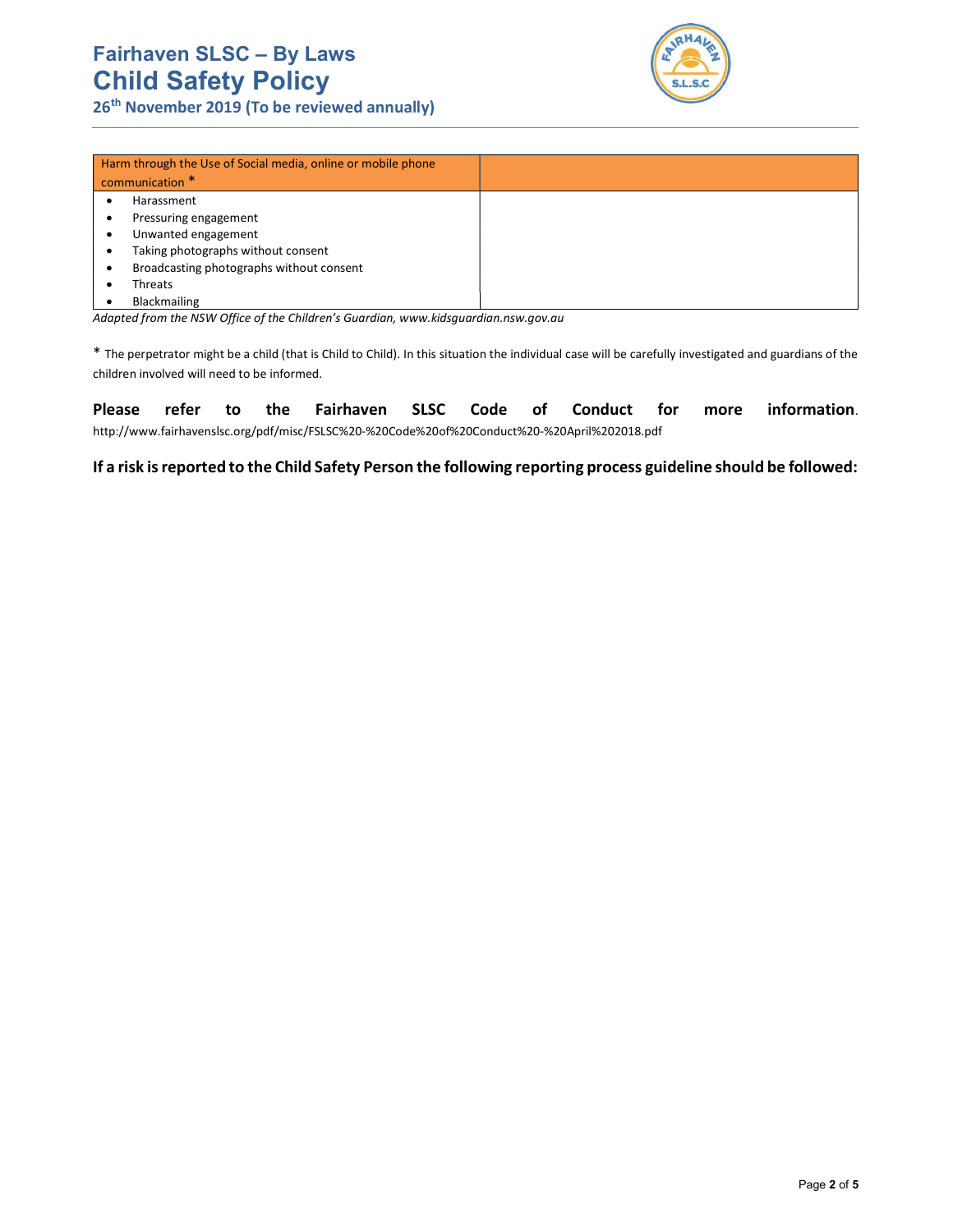# Fairhaven SLSC – By Laws Child Safety Policy

26<sup>th</sup> November 2019 (To be reviewed annually)



| Harm through the Use of Social media, online or mobile phone<br>communication * |  |
|---------------------------------------------------------------------------------|--|
| Harassment                                                                      |  |
| Pressuring engagement                                                           |  |
| Unwanted engagement                                                             |  |
| Taking photographs without consent                                              |  |
| Broadcasting photographs without consent                                        |  |
| Threats                                                                         |  |
| Blackmailing                                                                    |  |

Adapted from the NSW Office of the Children's Guardian, www.kidsguardian.nsw.gov.au

\* The perpetrator might be a child (that is Child to Child). In this situation the individual case will be carefully investigated and guardians of the children involved will need to be informed.

Please refer to the Fairhaven SLSC Code of Conduct for more information. http://www.fairhavenslsc.org/pdf/misc/FSLSC%20-%20Code%20of%20Conduct%20-%20April%202018.pdf

If a risk is reported to the Child Safety Person the following reporting process guideline should be followed: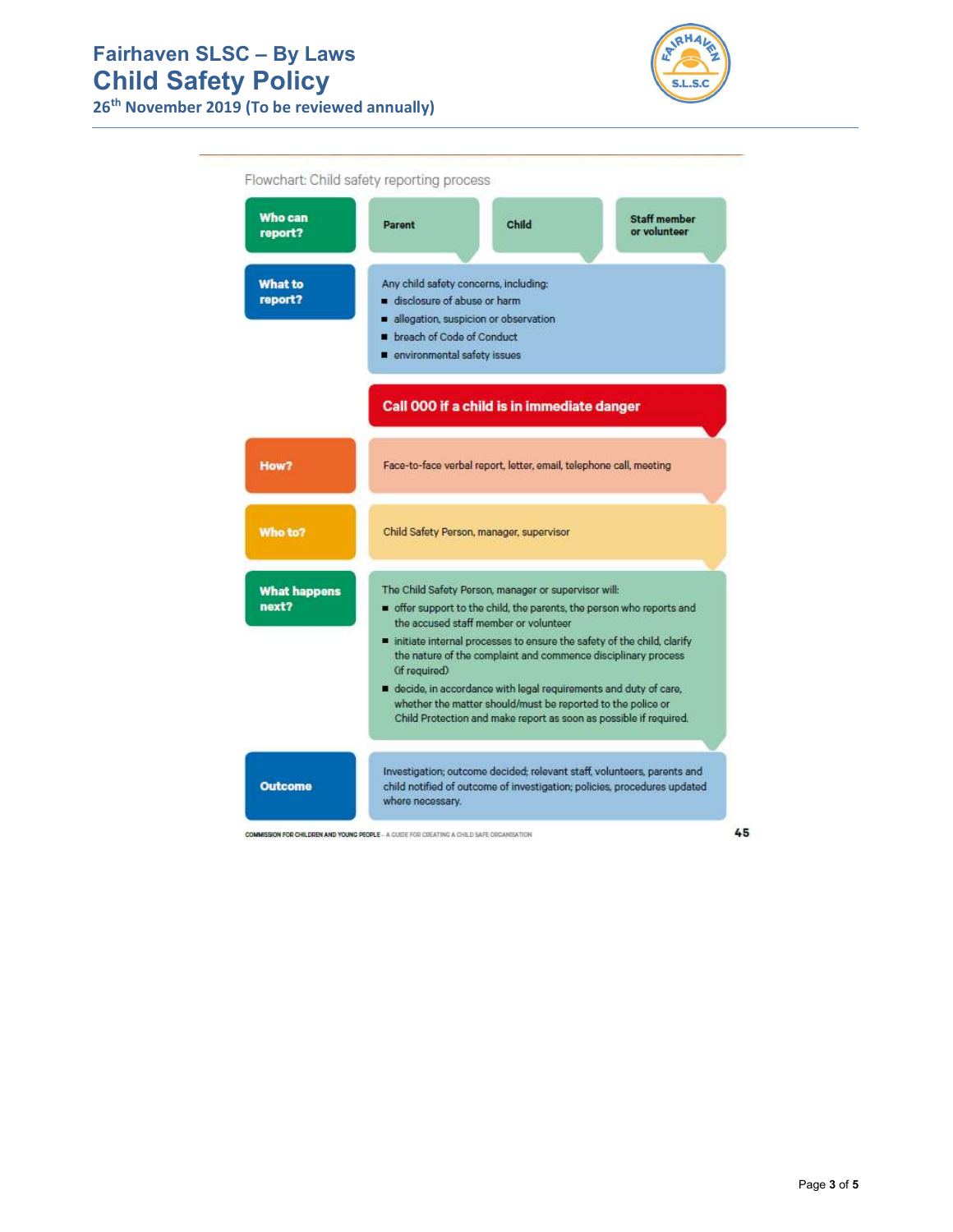# Fairhaven SLSC – By Laws Child Safety Policy

26<sup>th</sup> November 2019 (To be reviewed annually)



| Who can<br>report?           | Parent                                                                                                                                                                                                                                                                                                          | Child                                                                                                                                                                                               | <b>Staff member</b><br>or volunteer                                                                                                                 |  |
|------------------------------|-----------------------------------------------------------------------------------------------------------------------------------------------------------------------------------------------------------------------------------------------------------------------------------------------------------------|-----------------------------------------------------------------------------------------------------------------------------------------------------------------------------------------------------|-----------------------------------------------------------------------------------------------------------------------------------------------------|--|
| <b>What to</b><br>report?    | Any child safety concerns, including:<br>disclosure of abuse or harm<br>allegation, suspicion or observation<br>breach of Code of Conduct<br>environmental safety issues                                                                                                                                        |                                                                                                                                                                                                     |                                                                                                                                                     |  |
|                              | Call 000 if a child is in immediate danger                                                                                                                                                                                                                                                                      |                                                                                                                                                                                                     |                                                                                                                                                     |  |
| How?                         | Face-to-face verbal report, letter, email, telephone call, meeting                                                                                                                                                                                                                                              |                                                                                                                                                                                                     |                                                                                                                                                     |  |
| Who to?                      | Child Safety Person, manager, supervisor                                                                                                                                                                                                                                                                        |                                                                                                                                                                                                     |                                                                                                                                                     |  |
| <b>What happens</b><br>next? | The Child Safety Person, manager or supervisor will:<br>offer support to the child, the parents, the person who reports and<br>the accused staff member or volunteer<br>initiate internal processes to ensure the safety of the child, clarify<br>the nature of the complaint and commence disciplinary process |                                                                                                                                                                                                     |                                                                                                                                                     |  |
|                              | (if required)                                                                                                                                                                                                                                                                                                   | decide, in accordance with legal requirements and duty of care,<br>whether the matter should/must be reported to the police or<br>Child Protection and make report as soon as possible if required. |                                                                                                                                                     |  |
| <b>Outcome</b>               |                                                                                                                                                                                                                                                                                                                 |                                                                                                                                                                                                     | Investigation; outcome decided; relevant staff, volunteers, parents and<br>child notified of outcome of investigation; policies, procedures updated |  |

COMMISSION FOR CHILDREN AND YOUNG PEOPLE - A GUIDE FOR CIEATING A CHILD SAFE ORGANISATION

45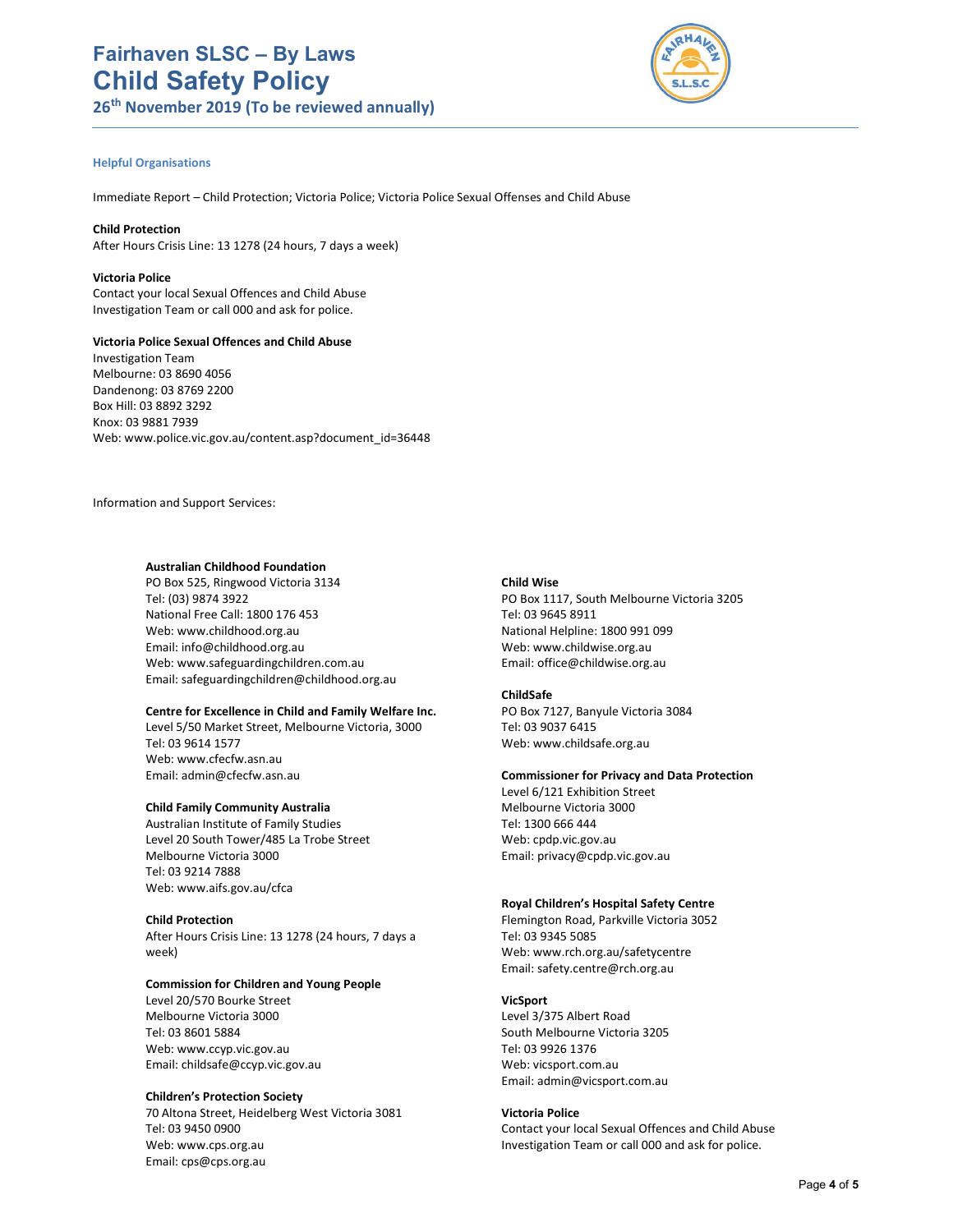

# Helpful Organisations

Immediate Report – Child Protection; Victoria Police; Victoria Police Sexual Offenses and Child Abuse

Child Protection After Hours Crisis Line: 13 1278 (24 hours, 7 days a week)

Victoria Police Contact your local Sexual Offences and Child Abuse Investigation Team or call 000 and ask for police.

# Victoria Police Sexual Offences and Child Abuse

Investigation Team Melbourne: 03 8690 4056 Dandenong: 03 8769 2200 Box Hill: 03 8892 3292 Knox: 03 9881 7939 Web: www.police.vic.gov.au/content.asp?document\_id=36448

Information and Support Services:

# Australian Childhood Foundation

PO Box 525, Ringwood Victoria 3134 Tel: (03) 9874 3922 National Free Call: 1800 176 453 Web: www.childhood.org.au Email: info@childhood.org.au Web: www.safeguardingchildren.com.au Email: safeguardingchildren@childhood.org.au

#### Centre for Excellence in Child and Family Welfare Inc.

Level 5/50 Market Street, Melbourne Victoria, 3000 Tel: 03 9614 1577 Web: www.cfecfw.asn.au Email: admin@cfecfw.asn.au

## Child Family Community Australia

Australian Institute of Family Studies Level 20 South Tower/485 La Trobe Street Melbourne Victoria 3000 Tel: 03 9214 7888 Web: www.aifs.gov.au/cfca

## Child Protection

After Hours Crisis Line: 13 1278 (24 hours, 7 days a week)

## Commission for Children and Young People

Level 20/570 Bourke Street Melbourne Victoria 3000 Tel: 03 8601 5884 Web: www.ccyp.vic.gov.au Email: childsafe@ccyp.vic.gov.au

## Children's Protection Society

70 Altona Street, Heidelberg West Victoria 3081 Tel: 03 9450 0900 Web: www.cps.org.au Email: cps@cps.org.au

#### Child Wise

PO Box 1117, South Melbourne Victoria 3205 Tel: 03 9645 8911 National Helpline: 1800 991 099 Web: www.childwise.org.au Email: office@childwise.org.au

#### ChildSafe

PO Box 7127, Banyule Victoria 3084 Tel: 03 9037 6415 Web: www.childsafe.org.au

#### Commissioner for Privacy and Data Protection

Level 6/121 Exhibition Street Melbourne Victoria 3000 Tel: 1300 666 444 Web: cpdp.vic.gov.au Email: privacy@cpdp.vic.gov.au

# Royal Children's Hospital Safety Centre

Flemington Road, Parkville Victoria 3052 Tel: 03 9345 5085 Web: www.rch.org.au/safetycentre Email: safety.centre@rch.org.au

## VicSport

Level 3/375 Albert Road South Melbourne Victoria 3205 Tel: 03 9926 1376 Web: vicsport.com.au Email: admin@vicsport.com.au

## Victoria Police

Contact your local Sexual Offences and Child Abuse Investigation Team or call 000 and ask for police.